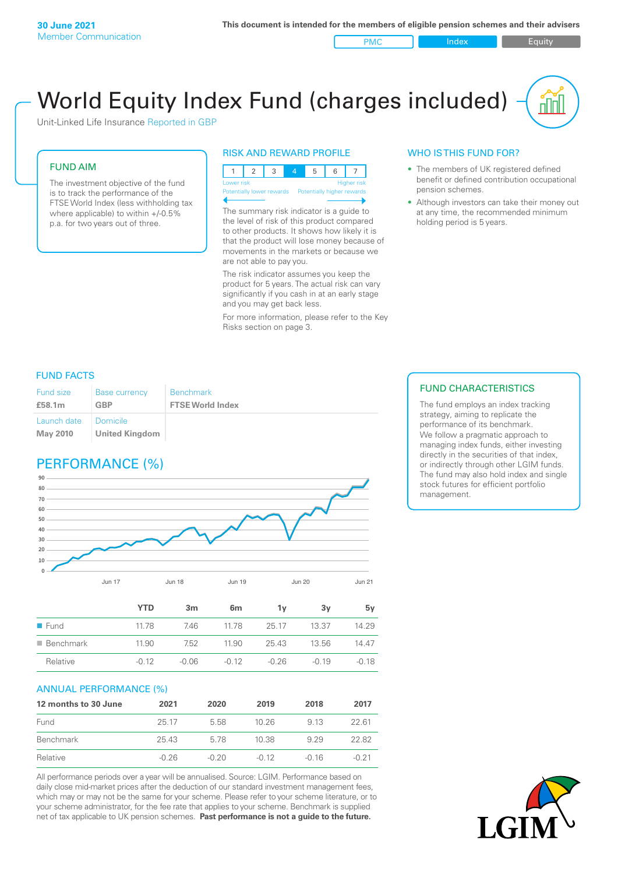PMC Index Index Equity

# World Equity Index Fund (charges included)

Unit-Linked Life Insurance Reported in GBP

#### FUND AIM

The investment objective of the fund is to track the performance of the FTSE World Index (less withholding tax where applicable) to within +/-0.5% p.a. for two years out of three.

#### RISK AND REWARD PROFILE



The summary risk indicator is a guide to the level of risk of this product compared to other products. It shows how likely it is that the product will lose money because of movements in the markets or because we are not able to pay you.

The risk indicator assumes you keep the product for 5 years. The actual risk can vary significantly if you cash in at an early stage and you may get back less.

For more information, please refer to the Key Risks section on page 3.

#### WHO IS THIS FUND FOR?

- The members of UK registered defined benefit or defined contribution occupational pension schemes.
- Although investors can take their money out at any time, the recommended minimum holding period is 5 years.

#### FUND FACTS

| <b>Fund size</b>               | <b>Base currency</b>              | <b>Benchmark</b>        |
|--------------------------------|-----------------------------------|-------------------------|
| £58.1m                         | <b>GBP</b>                        | <b>FTSE World Index</b> |
| Launch date<br><b>May 2010</b> | Domicile<br><b>United Kingdom</b> |                         |

# PERFORMANCE (%)



|                          | YTD     | 3 <sub>m</sub> | 6m      | ٦v      | 3v      | 5v      |
|--------------------------|---------|----------------|---------|---------|---------|---------|
| $\blacksquare$ Fund      | 11.78   | 746            | 1178    | 25.17   | 13.37   | 14.29   |
| $\blacksquare$ Benchmark | 11.90   | 7.52           | 11.90   | 25.43   | 13.56   | 14 47   |
| Relative                 | $-0.12$ | $-0.06$        | $-0.12$ | $-0.26$ | $-0.19$ | $-0.18$ |

#### ANNUAL PERFORMANCE (%)

| 12 months to 30 June | 2021    | 2020    | 2019    | 2018  | 2017    |
|----------------------|---------|---------|---------|-------|---------|
| Fund                 | 25.17   | 5.58    | 10.26   | 9 13  | 22.61   |
| Benchmark            | 25.43   | 578     | 10.38   | 9 2 9 | 22.82   |
| Relative             | $-0.26$ | $-0.20$ | $-0.12$ | -0.16 | $-0.21$ |

All performance periods over a year will be annualised. Source: LGIM. Performance based on daily close mid-market prices after the deduction of our standard investment management fees, which may or may not be the same for your scheme. Please refer to your scheme literature, or to your scheme administrator, for the fee rate that applies to your scheme. Benchmark is supplied net of tax applicable to UK pension schemes. **Past performance is not a guide to the future.**

#### FUND CHARACTERISTICS

The fund employs an index tracking strategy, aiming to replicate the performance of its benchmark. We follow a pragmatic approach to managing index funds, either investing directly in the securities of that index, or indirectly through other LGIM funds. The fund may also hold index and single stock futures for efficient portfolio management.

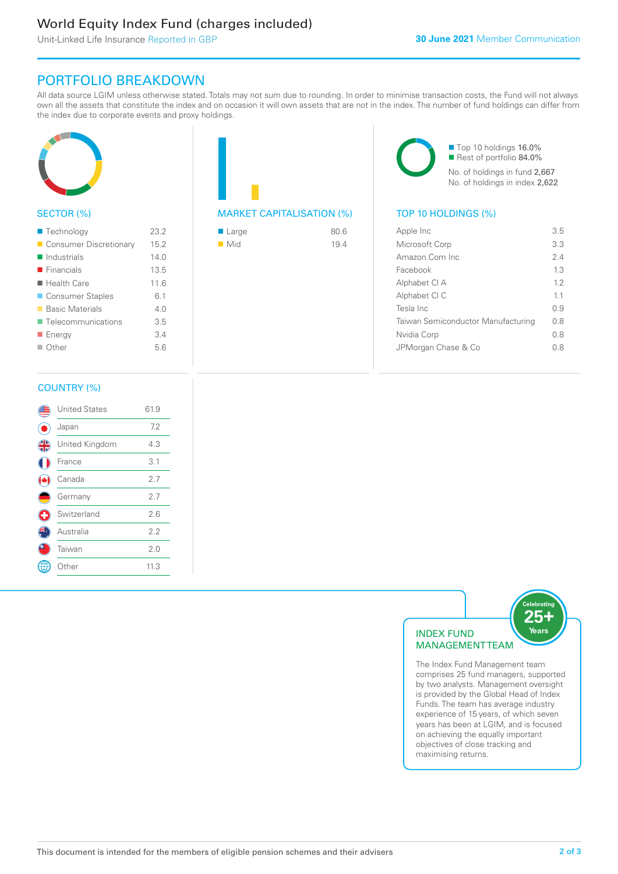# World Equity Index Fund (charges included)

Unit-Linked Life Insurance Reported in GBP

## PORTFOLIO BREAKDOWN

All data source LGIM unless otherwise stated. Totals may not sum due to rounding. In order to minimise transaction costs, the Fund will not always own all the assets that constitute the index and on occasion it will own assets that are not in the index. The number of fund holdings can differ from the index due to corporate events and proxy holdings.



### SECTOR (%)

| ■ Technology               | 23.2 |
|----------------------------|------|
| Consumer Discretionary     | 15.2 |
| $\blacksquare$ Industrials | 140  |
| $\blacksquare$ Financials  | 13.5 |
| $\blacksquare$ Health Care | 11.6 |
| ■ Consumer Staples         | 6.1  |
| ■ Basic Materials          | 4.0  |
| ■ Telecommunications       | 3.5  |
| <b>Energy</b>              | 3.4  |
| ■ Other                    | 5.6  |
|                            |      |

# MARKET CAPITALISATION (%) TOP 10 HOLDINGS (%)

| ■ Large            | 80.6 |
|--------------------|------|
| $\blacksquare$ Mid | 19.4 |

■ Top 10 holdings 16.0% Rest of portfolio 84.0% No. of holdings in fund 2,667 No. of holdings in index 2,622

| Apple Inc                          | 35  |
|------------------------------------|-----|
| Microsoft Corp                     | 3.3 |
| Amazon Com Inc.                    | 24  |
| Facebook                           | 13  |
| Alphabet CI A                      | 1.2 |
| Alphabet CI C                      | 11  |
| Tesla Inc                          | 0.9 |
| Taiwan Semiconductor Manufacturing | 0 S |
| Nvidia Corp                        | 0 S |
| JPMorgan Chase & Co                | 08  |
|                                    |     |

#### COUNTRY (%)

|   | <b>United States</b> | 61.9 |  |
|---|----------------------|------|--|
|   | Japan                | 7.2  |  |
| 4 | United Kingdom       | 4.3  |  |
|   | France               | 3.1  |  |
|   | Canada               | 2.7  |  |
|   | Germany              | 2.7  |  |
| ÷ | Switzerland          | 2.6  |  |
|   | Australia            | 2.2  |  |
|   | Taiwan               | 2.0  |  |
|   | Other                | 11.3 |  |
|   |                      |      |  |



The Index Fund Management team comprises 25 fund managers, supported by two analysts. Management oversight is provided by the Global Head of Index Funds. The team has average industry experience of 15 years, of which seven years has been at LGIM, and is focused on achieving the equally important objectives of close tracking and maximising returns.